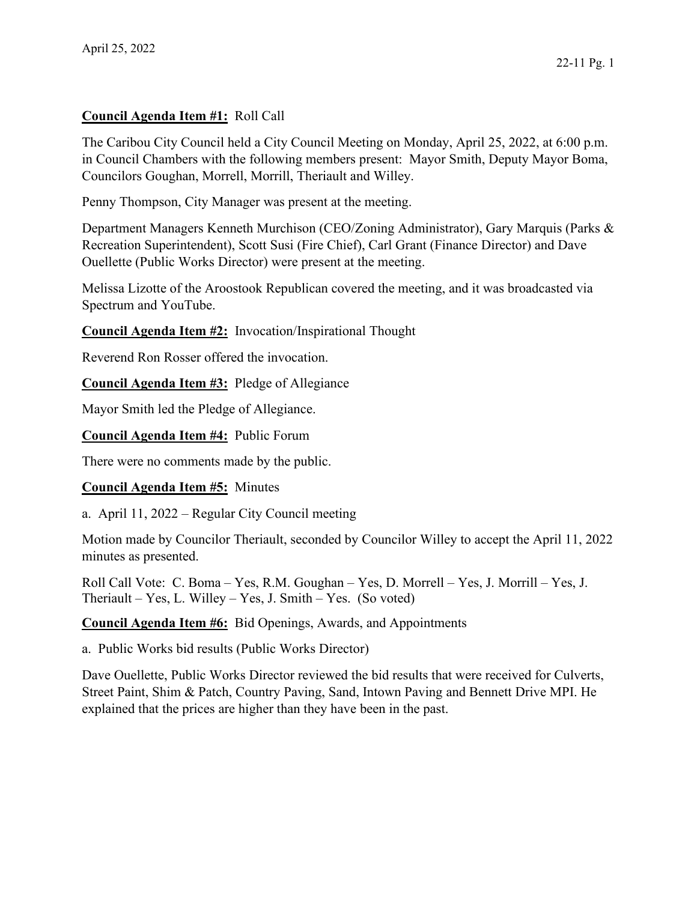## **Council Agenda Item #1:** Roll Call

The Caribou City Council held a City Council Meeting on Monday, April 25, 2022, at 6:00 p.m. in Council Chambers with the following members present: Mayor Smith, Deputy Mayor Boma, Councilors Goughan, Morrell, Morrill, Theriault and Willey.

Penny Thompson, City Manager was present at the meeting.

Department Managers Kenneth Murchison (CEO/Zoning Administrator), Gary Marquis (Parks & Recreation Superintendent), Scott Susi (Fire Chief), Carl Grant (Finance Director) and Dave Ouellette (Public Works Director) were present at the meeting.

Melissa Lizotte of the Aroostook Republican covered the meeting, and it was broadcasted via Spectrum and YouTube.

**Council Agenda Item #2:** Invocation/Inspirational Thought

Reverend Ron Rosser offered the invocation.

**Council Agenda Item #3:** Pledge of Allegiance

Mayor Smith led the Pledge of Allegiance.

**Council Agenda Item #4:** Public Forum

There were no comments made by the public.

## **Council Agenda Item #5:** Minutes

a. April 11, 2022 – Regular City Council meeting

Motion made by Councilor Theriault, seconded by Councilor Willey to accept the April 11, 2022 minutes as presented.

Roll Call Vote: C. Boma – Yes, R.M. Goughan – Yes, D. Morrell – Yes, J. Morrill – Yes, J. Theriault – Yes, L. Willey – Yes, J. Smith – Yes. (So voted)

**Council Agenda Item #6:** Bid Openings, Awards, and Appointments

a. Public Works bid results (Public Works Director)

Dave Ouellette, Public Works Director reviewed the bid results that were received for Culverts, Street Paint, Shim & Patch, Country Paving, Sand, Intown Paving and Bennett Drive MPI. He explained that the prices are higher than they have been in the past.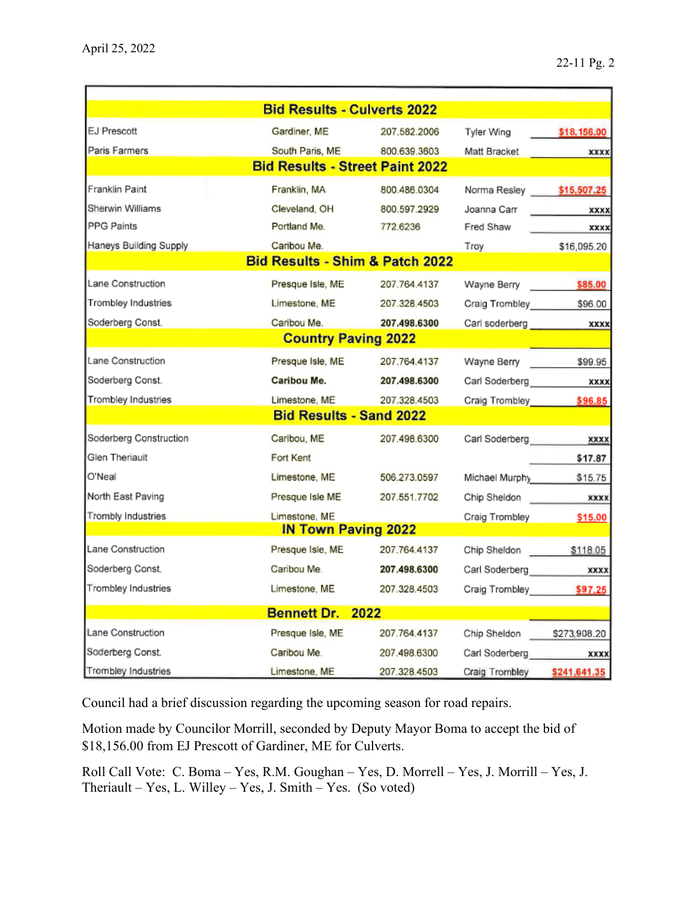|                                            | <b>Bid Results - Culverts 2022</b>     |              |                            |              |
|--------------------------------------------|----------------------------------------|--------------|----------------------------|--------------|
| EJ Prescott                                | Gardiner, ME                           | 207.582.2006 | Tyler Wing                 | \$18,156.00  |
| Paris Farmers                              | South Paris, ME 800.639.3603           |              | Matt Bracket               | <b>XXXX</b>  |
|                                            | <b>Bid Results - Street Paint 2022</b> |              |                            |              |
| Franklin Paint                             | Franklin, MA                           | 800.486.0304 | Norma Resley \$15,507.25   |              |
| Sherwin Williams                           | Cleveland, OH                          | 800.597.2929 | Joanna Carr                | <b>XXXX</b>  |
| PPG Paints                                 | Portland Me.                           | 772.6236     | Fred Shaw                  | xxxx         |
| Haneys Building Supply                     | Caribou Me.                            |              | Troy                       | \$16,095.20  |
| <b>Bid Results - Shim &amp; Patch 2022</b> |                                        |              |                            |              |
| Lane Construction                          | Presque Isle, ME                       | 207.764.4137 | Wayne Berry 585.00         |              |
| Trombley Industries                        | Limestone, ME                          | 207.328.4503 | Craig Trombley             | \$96.00      |
| Soderberg Const.                           | Caribou Me.                            | 207.498.6300 | Carl soderberg             | <b>XXXX</b>  |
|                                            | <b>Country Paving 2022</b>             |              |                            |              |
| Lane Construction                          | Presque Isle, ME                       | 207.764.4137 | Wayne Berry                | \$99.95      |
| Soderberg Const.                           | <b>Caribou Me.</b>                     | 207.498.6300 | Carl Soderberg             | <b>XXXX</b>  |
| Trombley Industries                        | Limestone, ME                          | 207.328.4503 | Craig Trombley \$96.85     |              |
|                                            | <b>Bid Results - Sand 2022</b>         |              |                            |              |
| Soderberg Construction                     | Caribou, ME                            | 207.498.6300 | Carl Soderberg <b>XXXX</b> |              |
| Glen Theriault                             | Fort Kent                              |              |                            | \$17.87      |
| O'Neal                                     | Limestone, ME                          | 506.273.0597 | Michael Murphy             | \$15.75      |
| North East Paving                          | Presque Isle ME                        | 207.551.7702 | Chip Sheldon               | <b>XXXX</b>  |
| <b>Trombly Industries</b>                  | Limestone, ME                          |              | Craig Trombley             | \$15.00      |
|                                            | <b>IN Town Paving 2022</b>             |              |                            |              |
| Lane Construction                          | Presque Isle, ME                       | 207.764.4137 | Chip Sheldon \$118.05      |              |
| Soderberg Const.                           | Caribou Me.                            | 207.498.6300 | Carl Soderberg             | <b>XXXX</b>  |
| Trombley Industries                        | Limestone, ME                          | 207.328.4503 | Craig Trombley \$97.25     |              |
|                                            | Bennett Dr. 2022                       |              |                            |              |
| Lane Construction                          | Presque Isle, ME                       | 207.764.4137 | Chip Sheldon \$273,908.20  |              |
| Soderberg Const.                           | Caribou Me.                            | 207.498.6300 | Carl Soderberg xxxx        |              |
| Trombley Industries                        | Limestone, ME                          | 207.328.4503 | Craig Trombley             | \$241,641.35 |

Council had a brief discussion regarding the upcoming season for road repairs.

Motion made by Councilor Morrill, seconded by Deputy Mayor Boma to accept the bid of \$18,156.00 from EJ Prescott of Gardiner, ME for Culverts.

Roll Call Vote: C. Boma – Yes, R.M. Goughan – Yes, D. Morrell – Yes, J. Morrill – Yes, J. Theriault – Yes, L. Willey – Yes, J. Smith – Yes. (So voted)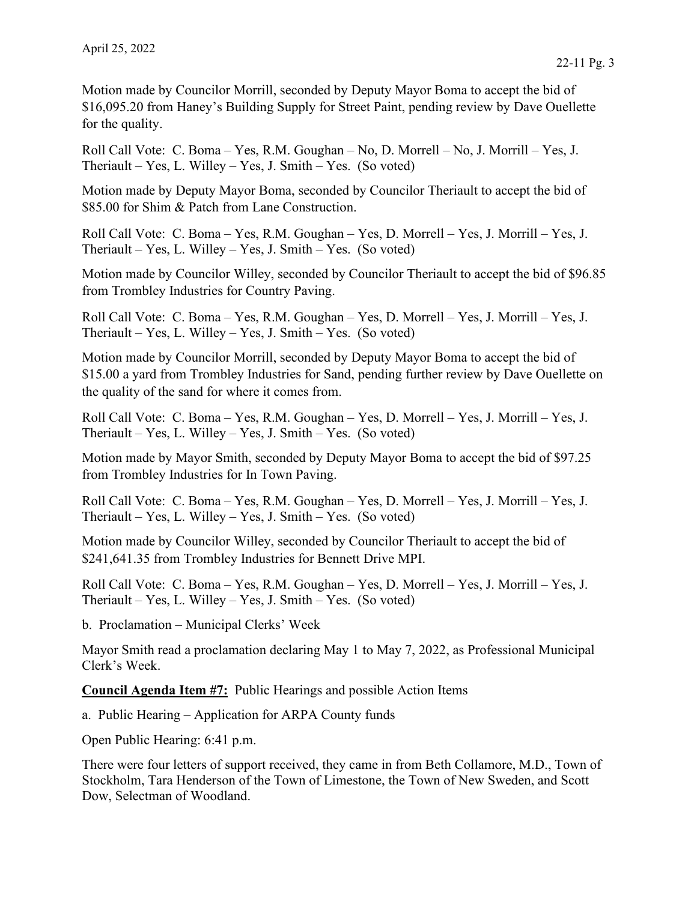Motion made by Councilor Morrill, seconded by Deputy Mayor Boma to accept the bid of \$16,095.20 from Haney's Building Supply for Street Paint, pending review by Dave Ouellette for the quality.

Roll Call Vote: C. Boma – Yes, R.M. Goughan – No, D. Morrell – No, J. Morrill – Yes, J. Theriault – Yes, L. Willey – Yes, J. Smith – Yes. (So voted)

Motion made by Deputy Mayor Boma, seconded by Councilor Theriault to accept the bid of \$85.00 for Shim & Patch from Lane Construction.

Roll Call Vote: C. Boma – Yes, R.M. Goughan – Yes, D. Morrell – Yes, J. Morrill – Yes, J. Theriault – Yes, L. Willey – Yes, J. Smith – Yes. (So voted)

Motion made by Councilor Willey, seconded by Councilor Theriault to accept the bid of \$96.85 from Trombley Industries for Country Paving.

Roll Call Vote: C. Boma – Yes, R.M. Goughan – Yes, D. Morrell – Yes, J. Morrill – Yes, J. Theriault – Yes, L. Willey – Yes, J. Smith – Yes. (So voted)

Motion made by Councilor Morrill, seconded by Deputy Mayor Boma to accept the bid of \$15.00 a yard from Trombley Industries for Sand, pending further review by Dave Ouellette on the quality of the sand for where it comes from.

Roll Call Vote: C. Boma – Yes, R.M. Goughan – Yes, D. Morrell – Yes, J. Morrill – Yes, J. Theriault – Yes, L. Willey – Yes, J. Smith – Yes. (So voted)

Motion made by Mayor Smith, seconded by Deputy Mayor Boma to accept the bid of \$97.25 from Trombley Industries for In Town Paving.

Roll Call Vote: C. Boma – Yes, R.M. Goughan – Yes, D. Morrell – Yes, J. Morrill – Yes, J. Theriault – Yes, L. Willey – Yes, J. Smith – Yes. (So voted)

Motion made by Councilor Willey, seconded by Councilor Theriault to accept the bid of \$241,641.35 from Trombley Industries for Bennett Drive MPI.

Roll Call Vote: C. Boma – Yes, R.M. Goughan – Yes, D. Morrell – Yes, J. Morrill – Yes, J. Theriault – Yes, L. Willey – Yes, J. Smith – Yes. (So voted)

b. Proclamation – Municipal Clerks' Week

Mayor Smith read a proclamation declaring May 1 to May 7, 2022, as Professional Municipal Clerk's Week.

**Council Agenda Item #7:** Public Hearings and possible Action Items

a. Public Hearing – Application for ARPA County funds

Open Public Hearing: 6:41 p.m.

There were four letters of support received, they came in from Beth Collamore, M.D., Town of Stockholm, Tara Henderson of the Town of Limestone, the Town of New Sweden, and Scott Dow, Selectman of Woodland.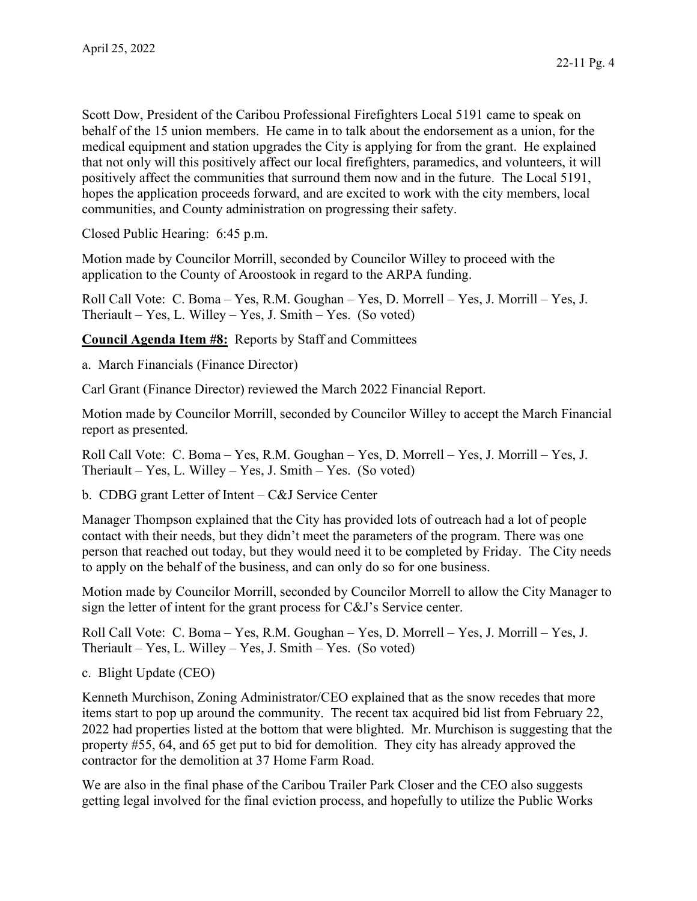Scott Dow, President of the Caribou Professional Firefighters Local 5191 came to speak on behalf of the 15 union members. He came in to talk about the endorsement as a union, for the medical equipment and station upgrades the City is applying for from the grant. He explained that not only will this positively affect our local firefighters, paramedics, and volunteers, it will positively affect the communities that surround them now and in the future. The Local 5191, hopes the application proceeds forward, and are excited to work with the city members, local communities, and County administration on progressing their safety.

Closed Public Hearing: 6:45 p.m.

Motion made by Councilor Morrill, seconded by Councilor Willey to proceed with the application to the County of Aroostook in regard to the ARPA funding.

Roll Call Vote: C. Boma – Yes, R.M. Goughan – Yes, D. Morrell – Yes, J. Morrill – Yes, J. Theriault – Yes, L. Willey – Yes, J. Smith – Yes. (So voted)

**Council Agenda Item #8:** Reports by Staff and Committees

a. March Financials (Finance Director)

Carl Grant (Finance Director) reviewed the March 2022 Financial Report.

Motion made by Councilor Morrill, seconded by Councilor Willey to accept the March Financial report as presented.

Roll Call Vote: C. Boma – Yes, R.M. Goughan – Yes, D. Morrell – Yes, J. Morrill – Yes, J. Theriault – Yes, L. Willey – Yes, J. Smith – Yes. (So voted)

b. CDBG grant Letter of Intent – C&J Service Center

Manager Thompson explained that the City has provided lots of outreach had a lot of people contact with their needs, but they didn't meet the parameters of the program. There was one person that reached out today, but they would need it to be completed by Friday. The City needs to apply on the behalf of the business, and can only do so for one business.

Motion made by Councilor Morrill, seconded by Councilor Morrell to allow the City Manager to sign the letter of intent for the grant process for C&J's Service center.

Roll Call Vote: C. Boma – Yes, R.M. Goughan – Yes, D. Morrell – Yes, J. Morrill – Yes, J. Theriault – Yes, L. Willey – Yes, J. Smith – Yes. (So voted)

c. Blight Update (CEO)

Kenneth Murchison, Zoning Administrator/CEO explained that as the snow recedes that more items start to pop up around the community. The recent tax acquired bid list from February 22, 2022 had properties listed at the bottom that were blighted. Mr. Murchison is suggesting that the property #55, 64, and 65 get put to bid for demolition. They city has already approved the contractor for the demolition at 37 Home Farm Road.

We are also in the final phase of the Caribou Trailer Park Closer and the CEO also suggests getting legal involved for the final eviction process, and hopefully to utilize the Public Works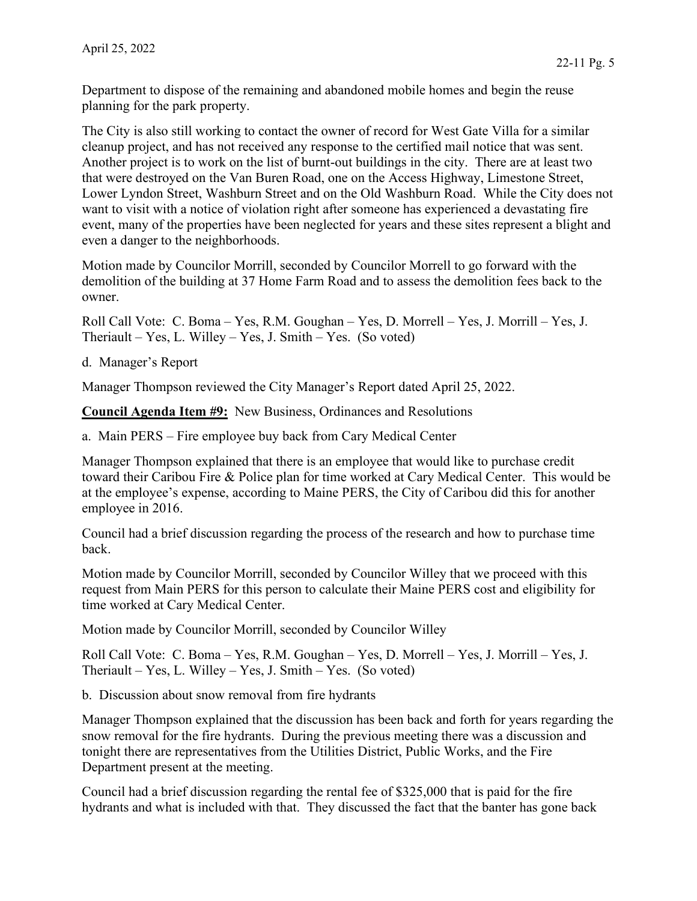Department to dispose of the remaining and abandoned mobile homes and begin the reuse planning for the park property.

The City is also still working to contact the owner of record for West Gate Villa for a similar cleanup project, and has not received any response to the certified mail notice that was sent. Another project is to work on the list of burnt-out buildings in the city. There are at least two that were destroyed on the Van Buren Road, one on the Access Highway, Limestone Street, Lower Lyndon Street, Washburn Street and on the Old Washburn Road. While the City does not want to visit with a notice of violation right after someone has experienced a devastating fire event, many of the properties have been neglected for years and these sites represent a blight and even a danger to the neighborhoods.

Motion made by Councilor Morrill, seconded by Councilor Morrell to go forward with the demolition of the building at 37 Home Farm Road and to assess the demolition fees back to the owner.

Roll Call Vote: C. Boma – Yes, R.M. Goughan – Yes, D. Morrell – Yes, J. Morrill – Yes, J. Theriault – Yes, L. Willey – Yes, J. Smith – Yes. (So voted)

d. Manager's Report

Manager Thompson reviewed the City Manager's Report dated April 25, 2022.

**Council Agenda Item #9:** New Business, Ordinances and Resolutions

a. Main PERS – Fire employee buy back from Cary Medical Center

Manager Thompson explained that there is an employee that would like to purchase credit toward their Caribou Fire & Police plan for time worked at Cary Medical Center. This would be at the employee's expense, according to Maine PERS, the City of Caribou did this for another employee in 2016.

Council had a brief discussion regarding the process of the research and how to purchase time back.

Motion made by Councilor Morrill, seconded by Councilor Willey that we proceed with this request from Main PERS for this person to calculate their Maine PERS cost and eligibility for time worked at Cary Medical Center.

Motion made by Councilor Morrill, seconded by Councilor Willey

Roll Call Vote: C. Boma – Yes, R.M. Goughan – Yes, D. Morrell – Yes, J. Morrill – Yes, J. Theriault – Yes, L. Willey – Yes, J. Smith – Yes. (So voted)

b. Discussion about snow removal from fire hydrants

Manager Thompson explained that the discussion has been back and forth for years regarding the snow removal for the fire hydrants. During the previous meeting there was a discussion and tonight there are representatives from the Utilities District, Public Works, and the Fire Department present at the meeting.

Council had a brief discussion regarding the rental fee of \$325,000 that is paid for the fire hydrants and what is included with that. They discussed the fact that the banter has gone back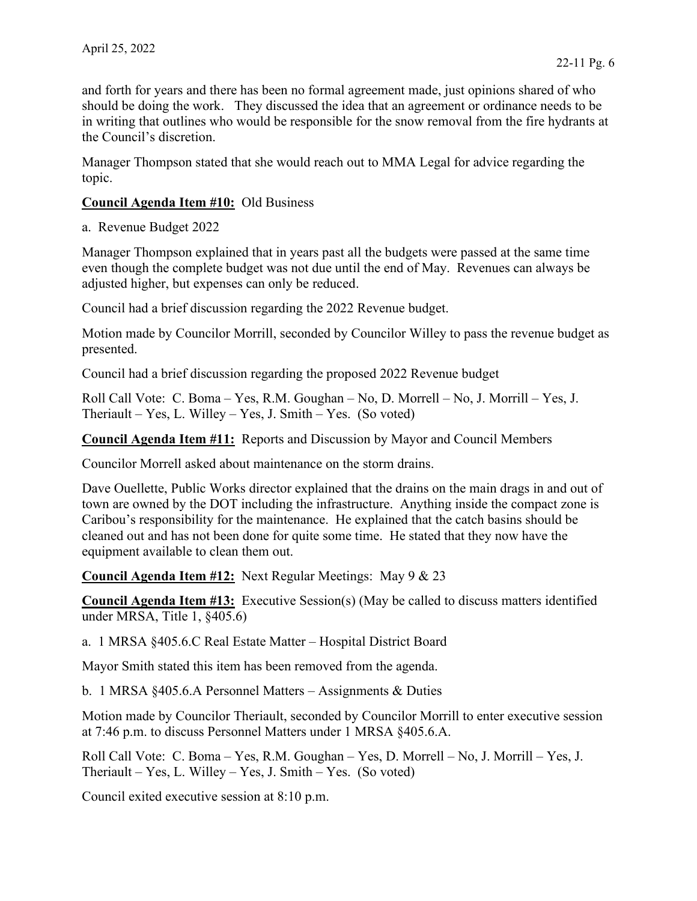and forth for years and there has been no formal agreement made, just opinions shared of who should be doing the work. They discussed the idea that an agreement or ordinance needs to be in writing that outlines who would be responsible for the snow removal from the fire hydrants at the Council's discretion.

Manager Thompson stated that she would reach out to MMA Legal for advice regarding the topic.

## **Council Agenda Item #10:** Old Business

a. Revenue Budget 2022

Manager Thompson explained that in years past all the budgets were passed at the same time even though the complete budget was not due until the end of May. Revenues can always be adjusted higher, but expenses can only be reduced.

Council had a brief discussion regarding the 2022 Revenue budget.

Motion made by Councilor Morrill, seconded by Councilor Willey to pass the revenue budget as presented.

Council had a brief discussion regarding the proposed 2022 Revenue budget

Roll Call Vote: C. Boma – Yes, R.M. Goughan – No, D. Morrell – No, J. Morrill – Yes, J. Theriault – Yes, L. Willey – Yes, J. Smith – Yes. (So voted)

**Council Agenda Item #11:** Reports and Discussion by Mayor and Council Members

Councilor Morrell asked about maintenance on the storm drains.

Dave Ouellette, Public Works director explained that the drains on the main drags in and out of town are owned by the DOT including the infrastructure. Anything inside the compact zone is Caribou's responsibility for the maintenance. He explained that the catch basins should be cleaned out and has not been done for quite some time. He stated that they now have the equipment available to clean them out.

**Council Agenda Item #12:** Next Regular Meetings: May 9 & 23

**Council Agenda Item #13:** Executive Session(s) (May be called to discuss matters identified under MRSA, Title 1, §405.6)

a. 1 MRSA §405.6.C Real Estate Matter – Hospital District Board

Mayor Smith stated this item has been removed from the agenda.

b. 1 MRSA §405.6.A Personnel Matters – Assignments & Duties

Motion made by Councilor Theriault, seconded by Councilor Morrill to enter executive session at 7:46 p.m. to discuss Personnel Matters under 1 MRSA §405.6.A.

Roll Call Vote: C. Boma – Yes, R.M. Goughan – Yes, D. Morrell – No, J. Morrill – Yes, J. Theriault – Yes, L. Willey – Yes, J. Smith – Yes. (So voted)

Council exited executive session at 8:10 p.m.